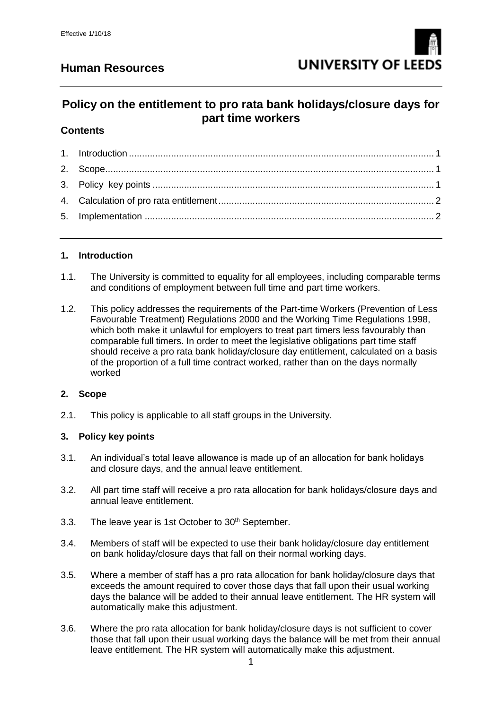# **Human Resources**



# **Policy on the entitlement to pro rata bank holidays/closure days for part time workers**

### **Contents**

#### <span id="page-0-0"></span>**1. Introduction**

- 1.1. The University is committed to equality for all employees, including comparable terms and conditions of employment between full time and part time workers.
- 1.2. This policy addresses the requirements of the Part-time Workers (Prevention of Less Favourable Treatment) Regulations 2000 and the Working Time Regulations 1998, which both make it unlawful for employers to treat part timers less favourably than comparable full timers. In order to meet the legislative obligations part time staff should receive a pro rata bank holiday/closure day entitlement, calculated on a basis of the proportion of a full time contract worked, rather than on the days normally worked

#### <span id="page-0-1"></span>**2. Scope**

2.1. This policy is applicable to all staff groups in the University.

#### <span id="page-0-2"></span>**3. Policy key points**

- 3.1. An individual's total leave allowance is made up of an allocation for bank holidays and closure days, and the annual leave entitlement.
- 3.2. All part time staff will receive a pro rata allocation for bank holidays/closure days and annual leave entitlement.
- 3.3. The leave year is 1st October to  $30<sup>th</sup>$  September.
- 3.4. Members of staff will be expected to use their bank holiday/closure day entitlement on bank holiday/closure days that fall on their normal working days.
- 3.5. Where a member of staff has a pro rata allocation for bank holiday/closure days that exceeds the amount required to cover those days that fall upon their usual working days the balance will be added to their annual leave entitlement. The HR system will automatically make this adjustment.
- 3.6. Where the pro rata allocation for bank holiday/closure days is not sufficient to cover those that fall upon their usual working days the balance will be met from their annual leave entitlement. The HR system will automatically make this adjustment.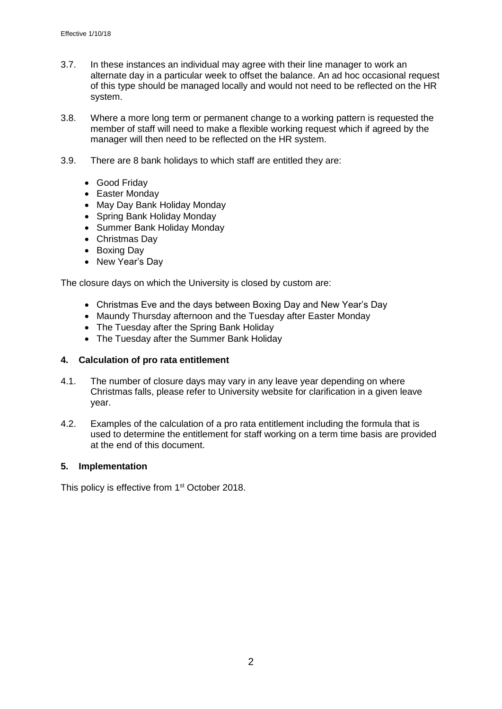- 3.7. In these instances an individual may agree with their line manager to work an alternate day in a particular week to offset the balance. An ad hoc occasional request of this type should be managed locally and would not need to be reflected on the HR system.
- 3.8. Where a more long term or permanent change to a working pattern is requested the member of staff will need to make a flexible working request which if agreed by the manager will then need to be reflected on the HR system.
- 3.9. There are 8 bank holidays to which staff are entitled they are:
	- **•** Good Friday
	- Easter Monday
	- May Day Bank Holiday Monday
	- Spring Bank Holiday Monday
	- Summer Bank Holiday Monday
	- Christmas Day
	- Boxing Day
	- New Year's Day

The closure days on which the University is closed by custom are:

- Christmas Eve and the days between Boxing Day and New Year's Day
- Maundy Thursday afternoon and the Tuesday after Easter Monday
- The Tuesday after the Spring Bank Holiday
- The Tuesday after the Summer Bank Holiday

#### <span id="page-1-0"></span>**4. Calculation of pro rata entitlement**

- 4.1. The number of closure days may vary in any leave year depending on where Christmas falls, please refer to University website for clarification in a given leave year.
- 4.2. Examples of the calculation of a pro rata entitlement including the formula that is used to determine the entitlement for staff working on a term time basis are provided at the end of this document.

#### <span id="page-1-1"></span>**5. Implementation**

This policy is effective from 1<sup>st</sup> October 2018.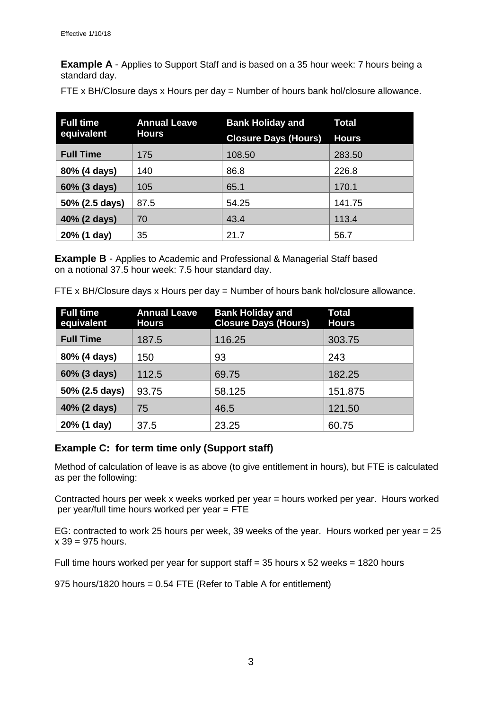**Example A** - Applies to Support Staff and is based on a 35 hour week: 7 hours being a standard day.

FTE x BH/Closure days x Hours per day = Number of hours bank hol/closure allowance.

| <b>Full time</b> | <b>Annual Leave</b><br><b>Hours</b> | <b>Bank Holiday and</b>     | <b>Total</b> |
|------------------|-------------------------------------|-----------------------------|--------------|
| equivalent       |                                     | <b>Closure Days (Hours)</b> | <b>Hours</b> |
| <b>Full Time</b> | 175                                 | 108.50                      | 283.50       |
| 80% (4 days)     | 140                                 | 86.8                        | 226.8        |
| 60% (3 days)     | 105                                 | 65.1                        | 170.1        |
| 50% (2.5 days)   | 87.5                                | 54.25                       | 141.75       |
| 40% (2 days)     | 70                                  | 43.4                        | 113.4        |
| 20% (1 day)      | 35                                  | 21.7                        | 56.7         |

**Example B** - Applies to Academic and Professional & Managerial Staff based on a notional 37.5 hour week: 7.5 hour standard day.

FTE x BH/Closure days x Hours per day = Number of hours bank hol/closure allowance.

| <b>Full time</b><br>equivalent | <b>Annual Leave</b><br><b>Hours</b> | <b>Bank Holiday and</b><br><b>Closure Days (Hours)</b> | <b>Total</b><br><b>Hours</b> |
|--------------------------------|-------------------------------------|--------------------------------------------------------|------------------------------|
| <b>Full Time</b>               | 187.5                               | 116.25                                                 | 303.75                       |
| 80% (4 days)                   | 150                                 | 93                                                     | 243                          |
| 60% (3 days)                   | 112.5                               | 69.75                                                  | 182.25                       |
| 50% (2.5 days)                 | 93.75                               | 58.125                                                 | 151.875                      |
| 40% (2 days)                   | 75                                  | 46.5                                                   | 121.50                       |
| 20% (1 day)                    | 37.5                                | 23.25                                                  | 60.75                        |

### **Example C: for term time only (Support staff)**

Method of calculation of leave is as above (to give entitlement in hours), but FTE is calculated as per the following:

Contracted hours per week x weeks worked per year = hours worked per year. Hours worked per year/full time hours worked per year = FTE

EG: contracted to work 25 hours per week, 39 weeks of the year. Hours worked per year = 25  $x 39 = 975$  hours.

Full time hours worked per year for support staff  $=$  35 hours x 52 weeks  $=$  1820 hours

975 hours/1820 hours = 0.54 FTE (Refer to Table A for entitlement)